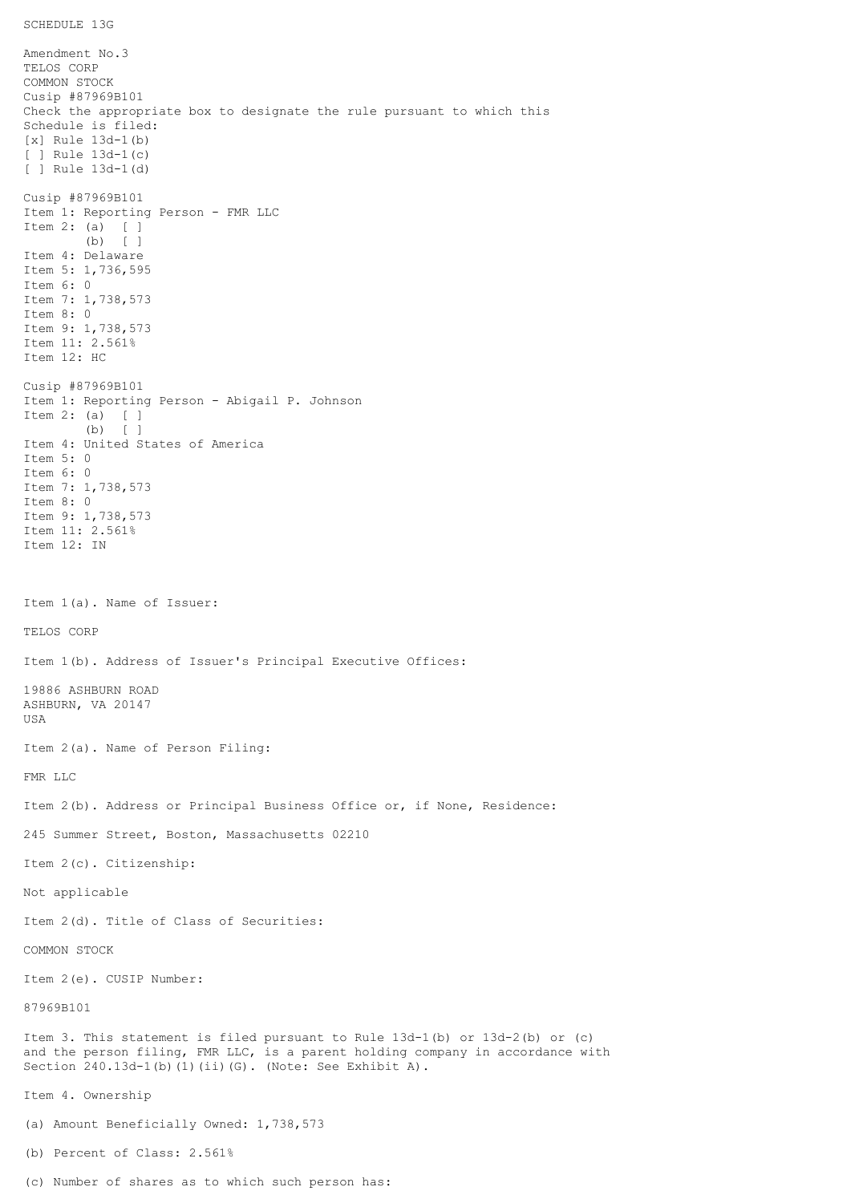```
SCHEDULE 13G
```
Amendment No.3 TELOS CORP COMMON STOCK Cusip #87969B101 Check the appropriate box to designate the rule pursuant to which this Schedule is filed: [x] Rule 13d-1(b) [ ] Rule 13d-1(c) [ ] Rule 13d-1(d) Cusip #87969B101 Item 1: Reporting Person - FMR LLC Item 2: (a) [ ] (b) [ ] Item 4: Delaware Item 5: 1,736,595 Item 6: 0 Item 7: 1,738,573 Item 8: 0 Item 9: 1,738,573 Item 11: 2.561% Item 12: HC Cusip #87969B101 Item 1: Reporting Person - Abigail P. Johnson Item 2: (a) [ ] (b) [ ] Item 4: United States of America Item 5: 0 Item 6: 0 Item 7: 1,738,573 Item 8: 0 Item 9: 1,738,573 Item 11: 2.561% Item 12: IN Item 1(a). Name of Issuer: TELOS CORP Item 1(b). Address of Issuer's Principal Executive Offices: 19886 ASHBURN ROAD ASHBURN, VA 20147 USA Item 2(a). Name of Person Filing: FMR LLC Item 2(b). Address or Principal Business Office or, if None, Residence: 245 Summer Street, Boston, Massachusetts 02210 Item 2(c). Citizenship: Not applicable Item 2(d). Title of Class of Securities: COMMON STOCK Item 2(e). CUSIP Number: 87969B101 Item 3. This statement is filed pursuant to Rule 13d-1(b) or 13d-2(b) or (c) and the person filing, FMR LLC, is a parent holding company in accordance with Section 240.13d-1(b)(1)(ii)(G). (Note: See Exhibit A). Item 4. Ownership (a) Amount Beneficially Owned: 1,738,573 (b) Percent of Class: 2.561%

(c) Number of shares as to which such person has: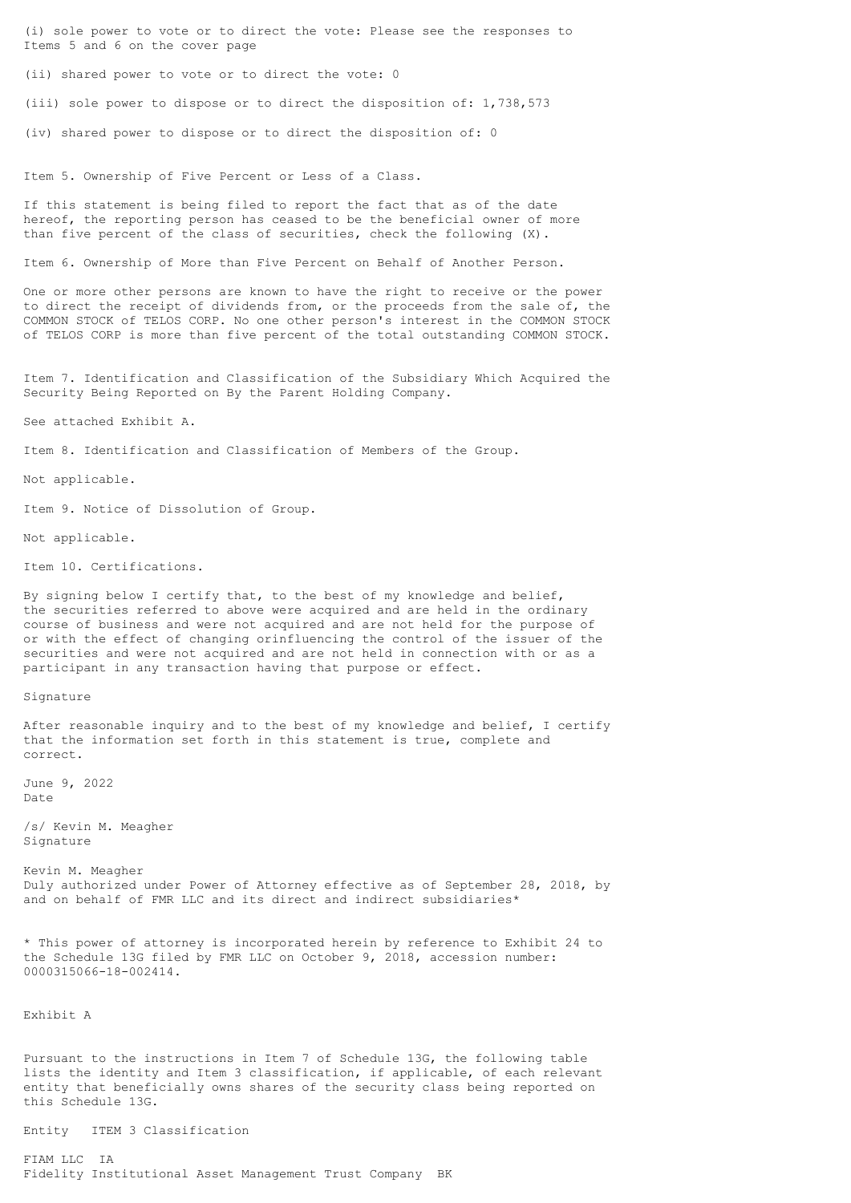(i) sole power to vote or to direct the vote: Please see the responses to Items 5 and 6 on the cover page

(ii) shared power to vote or to direct the vote: 0

(iii) sole power to dispose or to direct the disposition of: 1,738,573

(iv) shared power to dispose or to direct the disposition of: 0

Item 5. Ownership of Five Percent or Less of a Class.

If this statement is being filed to report the fact that as of the date hereof, the reporting person has ceased to be the beneficial owner of more than five percent of the class of securities, check the following (X).

Item 6. Ownership of More than Five Percent on Behalf of Another Person.

One or more other persons are known to have the right to receive or the power to direct the receipt of dividends from, or the proceeds from the sale of, the COMMON STOCK of TELOS CORP. No one other person's interest in the COMMON STOCK of TELOS CORP is more than five percent of the total outstanding COMMON STOCK.

Item 7. Identification and Classification of the Subsidiary Which Acquired the Security Being Reported on By the Parent Holding Company.

See attached Exhibit A.

Item 8. Identification and Classification of Members of the Group.

Not applicable.

Item 9. Notice of Dissolution of Group.

Not applicable.

Item 10. Certifications.

By signing below I certify that, to the best of my knowledge and belief, the securities referred to above were acquired and are held in the ordinary course of business and were not acquired and are not held for the purpose of or with the effect of changing orinfluencing the control of the issuer of the securities and were not acquired and are not held in connection with or as a participant in any transaction having that purpose or effect.

Signature

After reasonable inquiry and to the best of my knowledge and belief, I certify that the information set forth in this statement is true, complete and correct.

June 9, 2022 Date

/s/ Kevin M. Meagher Signature

Kevin M. Meagher Duly authorized under Power of Attorney effective as of September 28, 2018, by and on behalf of FMR LLC and its direct and indirect subsidiaries\*

\* This power of attorney is incorporated herein by reference to Exhibit 24 to the Schedule 13G filed by FMR LLC on October 9, 2018, accession number: 0000315066-18-002414.

Exhibit A

Pursuant to the instructions in Item 7 of Schedule 13G, the following table lists the identity and Item 3 classification, if applicable, of each relevant entity that beneficially owns shares of the security class being reported on this Schedule 13G.

Entity ITEM 3 Classification

FIAM LLC IA Fidelity Institutional Asset Management Trust Company BK